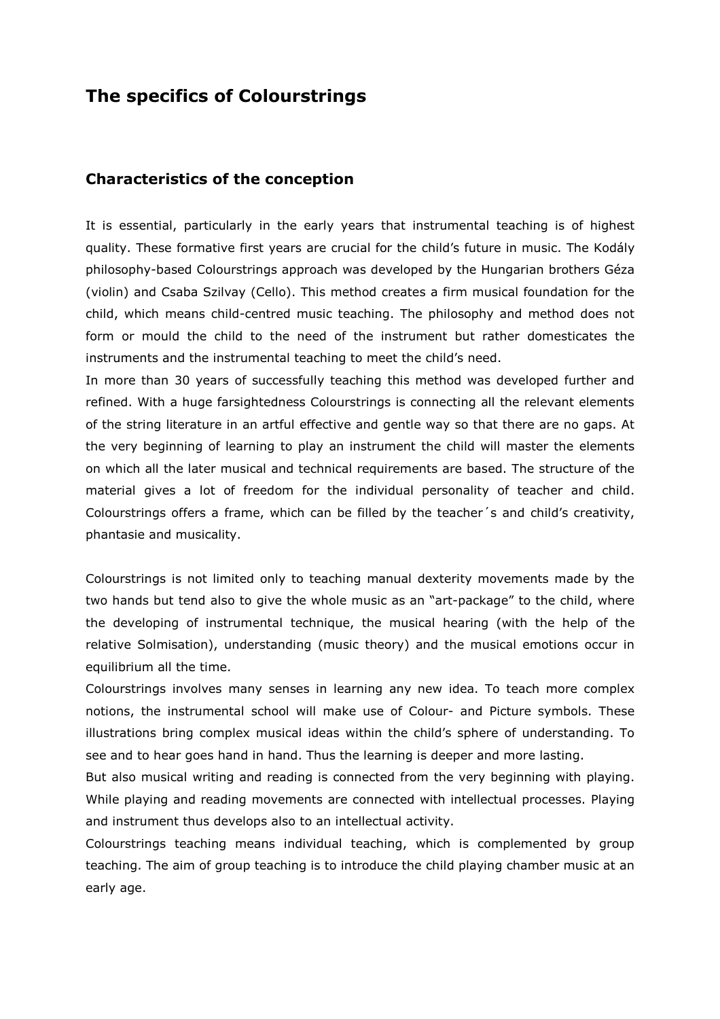## **The specifics of Colourstrings**

## **Characteristics of the conception**

It is essential, particularly in the early years that instrumental teaching is of highest quality. These formative first years are crucial for the child's future in music. The Kodály philosophy-based Colourstrings approach was developed by the Hungarian brothers Géza (violin) and Csaba Szilvay (Cello). This method creates a firm musical foundation for the child, which means child-centred music teaching. The philosophy and method does not form or mould the child to the need of the instrument but rather domesticates the instruments and the instrumental teaching to meet the child's need.

In more than 30 years of successfully teaching this method was developed further and refined. With a huge farsightedness Colourstrings is connecting all the relevant elements of the string literature in an artful effective and gentle way so that there are no gaps. At the very beginning of learning to play an instrument the child will master the elements on which all the later musical and technical requirements are based. The structure of the material gives a lot of freedom for the individual personality of teacher and child. Colourstrings offers a frame, which can be filled by the teacher´s and child's creativity, phantasie and musicality.

Colourstrings is not limited only to teaching manual dexterity movements made by the two hands but tend also to give the whole music as an "art-package" to the child, where the developing of instrumental technique, the musical hearing (with the help of the relative Solmisation), understanding (music theory) and the musical emotions occur in equilibrium all the time.

Colourstrings involves many senses in learning any new idea. To teach more complex notions, the instrumental school will make use of Colour- and Picture symbols. These illustrations bring complex musical ideas within the child's sphere of understanding. To see and to hear goes hand in hand. Thus the learning is deeper and more lasting.

But also musical writing and reading is connected from the very beginning with playing. While playing and reading movements are connected with intellectual processes. Playing and instrument thus develops also to an intellectual activity.

Colourstrings teaching means individual teaching, which is complemented by group teaching. The aim of group teaching is to introduce the child playing chamber music at an early age.